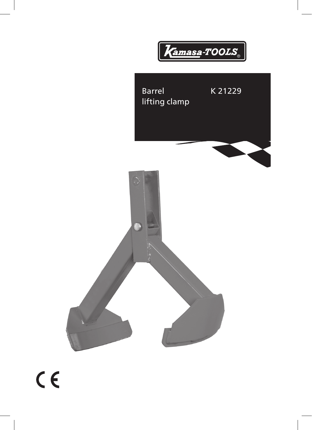



 $C<sub>6</sub>$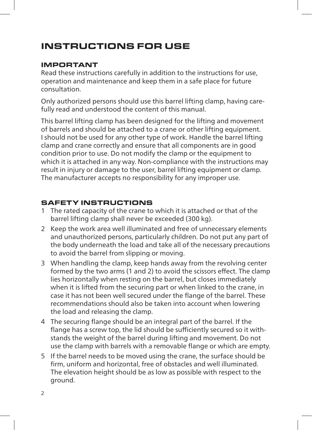# instructions for use

### Important

Read these instructions carefully in addition to the instructions for use, operation and maintenance and keep them in a safe place for future consultation.

Only authorized persons should use this barrel lifting clamp, having carefully read and understood the content of this manual.

This barrel lifting clamp has been designed for the lifting and movement of barrels and should be attached to a crane or other lifting equipment. I should not be used for any other type of work. Handle the barrel lifting clamp and crane correctly and ensure that all components are in good condition prior to use. Do not modify the clamp or the equipment to which it is attached in any way. Non-compliance with the instructions may result in injury or damage to the user, barrel lifting equipment or clamp. The manufacturer accepts no responsibility for any improper use.

# Safety instructions

- 1 The rated capacity of the crane to which it is attached or that of the barrel lifting clamp shall never be exceeded (300 kg).
- 2 Keep the work area well illuminated and free of unnecessary elements and unauthorized persons, particularly children. Do not put any part of the body underneath the load and take all of the necessary precautions to avoid the barrel from slipping or moving.
- 3 When handling the clamp, keep hands away from the revolving center formed by the two arms (1 and 2) to avoid the scissors effect. The clamp lies horizontally when resting on the barrel, but closes immediately when it is lifted from the securing part or when linked to the crane, in case it has not been well secured under the flange of the barrel. These recommendations should also be taken into account when lowering the load and releasing the clamp.
- 4 The securing flange should be an integral part of the barrel. If the flange has a screw top, the lid should be sufficiently secured so it withstands the weight of the barrel during lifting and movement. Do not use the clamp with barrels with a removable flange or which are empty.
- 5 If the barrel needs to be moved using the crane, the surface should be firm, uniform and horizontal, free of obstacles and well illuminated. The elevation height should be as low as possible with respect to the ground.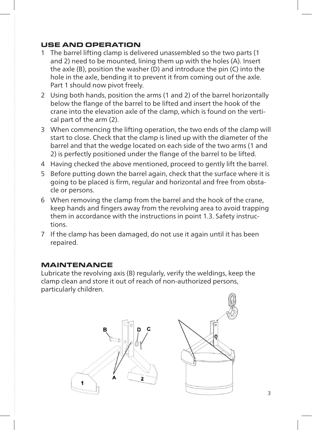## use anD operation

- 1 The barrel lifting clamp is delivered unassembled so the two parts (1 and 2) need to be mounted, lining them up with the holes (A). Insert the axle (B), position the washer (D) and introduce the pin (C) into the hole in the axle, bending it to prevent it from coming out of the axle. Part 1 should now pivot freely.
- 2 Using both hands, position the arms (1 and 2) of the barrel horizontally below the flange of the barrel to be lifted and insert the hook of the crane into the elevation axle of the clamp, which is found on the vertical part of the arm (2).
- 3 When commencing the lifting operation, the two ends of the clamp will start to close. Check that the clamp is lined up with the diameter of the barrel and that the wedge located on each side of the two arms (1 and 2) is perfectly positioned under the flange of the barrel to be lifted.
- 4 Having checked the above mentioned, proceed to gently lift the barrel.
- 5 Before putting down the barrel again, check that the surface where it is going to be placed is firm, regular and horizontal and free from obstacle or persons.
- 6 When removing the clamp from the barrel and the hook of the crane, keep hands and fingers away from the revolving area to avoid trapping them in accordance with the instructions in point 1.3. Safety instructions.
- 7 If the clamp has been damaged, do not use it again until it has been repaired.

#### maintenance

Lubricate the revolving axis (B) regularly, verify the weldings, keep the clamp clean and store it out of reach of non-authorized persons, particularly children.